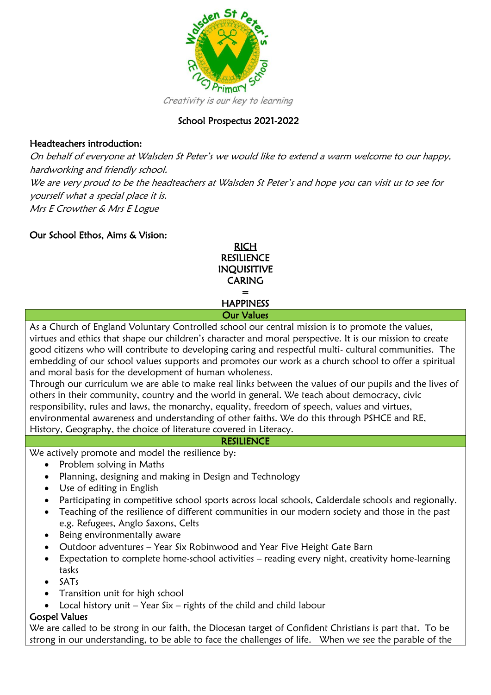

# School Prospectus 2021-2022

#### Headteachers introduction:

On behalf of everyone at Walsden St Peter's we would like to extend a warm welcome to our happy, hardworking and friendly school. We are very proud to be the headteachers at Walsden St Peter's and hope you can visit us to see for yourself what a special place it is. Mrs E Crowther & Mrs E Logue

#### Our School Ethos, Aims & Vision:

RICH **RESILIENCE** INQUISITIVE CARING = **HAPPINESS** Our Values

As a Church of England Voluntary Controlled school our central mission is to promote the values, virtues and ethics that shape our children's character and moral perspective. It is our mission to create good citizens who will contribute to developing caring and respectful multi- cultural communities. The embedding of our school values supports and promotes our work as a church school to offer a spiritual and moral basis for the development of human wholeness.

Through our curriculum we are able to make real links between the values of our pupils and the lives of others in their community, country and the world in general. We teach about democracy, civic responsibility, rules and laws, the monarchy, equality, freedom of speech, values and virtues, environmental awareness and understanding of other faiths. We do this through PSHCE and RE, History, Geography, the choice of literature covered in Literacy.

#### **RESILIENCE**

We actively promote and model the resilience by:

- Problem solving in Maths
- Planning, designing and making in Design and Technology
- Use of editing in English
- Participating in competitive school sports across local schools, Calderdale schools and regionally.
- Teaching of the resilience of different communities in our modern society and those in the past e.g. Refugees, Anglo Saxons, Celts
- Being environmentally aware
- Outdoor adventures Year Six Robinwood and Year Five Height Gate Barn
- Expectation to complete home-school activities reading every night, creativity home-learning tasks
- SATs
- Transition unit for high school
- Local history unit  $-$  Year Six  $-$  rights of the child and child labour

#### Gospel Values

We are called to be strong in our faith, the Diocesan target of Confident Christians is part that. To be strong in our understanding, to be able to face the challenges of life. When we see the parable of the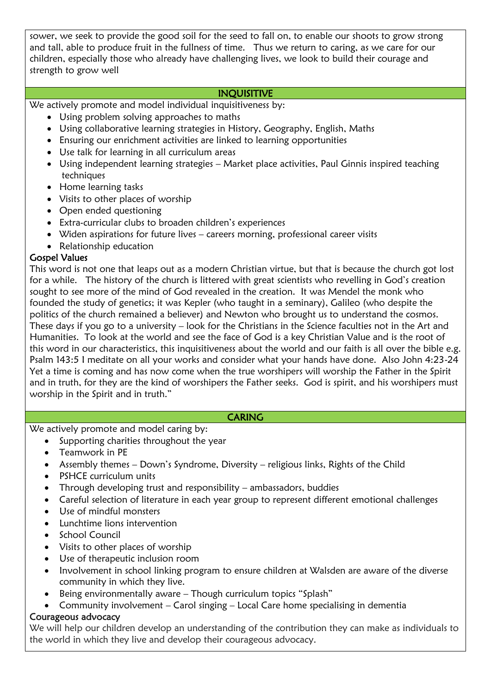sower, we seek to provide the good soil for the seed to fall on, to enable our shoots to grow strong and tall, able to produce fruit in the fullness of time. Thus we return to caring, as we care for our children, especially those who already have challenging lives, we look to build their courage and strength to grow well

#### INQUISITIVE

We actively promote and model individual inquisitiveness by:

- Using problem solving approaches to maths
- Using collaborative learning strategies in History, Geography, English, Maths
- Ensuring our enrichment activities are linked to learning opportunities
- Use talk for learning in all curriculum areas
- Using independent learning strategies Market place activities, Paul Ginnis inspired teaching techniques
- Home learning tasks
- Visits to other places of worship
- Open ended questioning
- Extra-curricular clubs to broaden children's experiences
- Widen aspirations for future lives careers morning, professional career visits
- Relationship education

# Gospel Values

This word is not one that leaps out as a modern Christian virtue, but that is because the church got lost for a while. The history of the church is littered with great scientists who revelling in God's creation sought to see more of the mind of God revealed in the creation. It was Mendel the monk who founded the study of genetics; it was Kepler (who taught in a seminary), Galileo (who despite the politics of the church remained a believer) and Newton who brought us to understand the cosmos. These days if you go to a university – look for the Christians in the Science faculties not in the Art and Humanities. To look at the world and see the face of God is a key Christian Value and is the root of this word in our characteristics, this inquisitiveness about the world and our faith is all over the bible e.g. Psalm 143:5 I meditate on all your works and consider what your hands have done. Also John 4:23-24 Yet a time is coming and has now come when the true worshipers will worship the Father in the Spirit and in truth, for they are the kind of worshipers the Father seeks. God is spirit, and his worshipers must worship in the Spirit and in truth."

#### **CARING**

We actively promote and model caring by:

- Supporting charities throughout the year
- Teamwork in PE
- Assembly themes Down's Syndrome, Diversity religious links, Rights of the Child
- PSHCE curriculum units
- Through developing trust and responsibility ambassadors, buddies
- Careful selection of literature in each year group to represent different emotional challenges
- Use of mindful monsters
- Lunchtime lions intervention
- School Council
- Visits to other places of worship
- Use of therapeutic inclusion room
- Involvement in school linking program to ensure children at Walsden are aware of the diverse community in which they live.
- Being environmentally aware Though curriculum topics "Splash"
- Community involvement Carol singing Local Care home specialising in dementia

#### Courageous advocacy

We will help our children develop an understanding of the contribution they can make as individuals to the world in which they live and develop their courageous advocacy.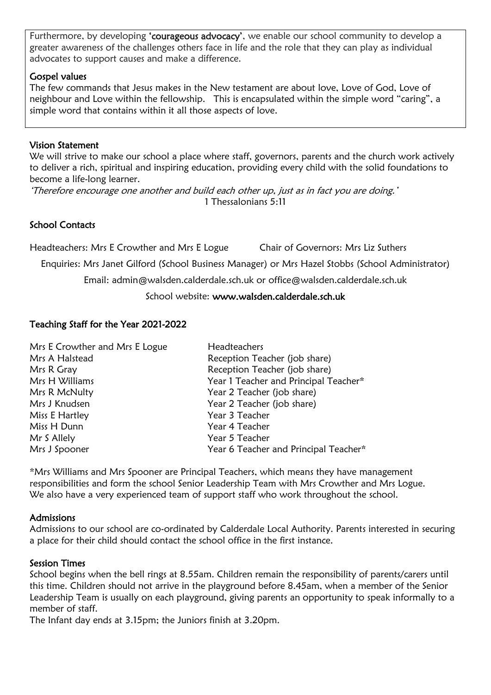Furthermore, by developing 'courageous advocacy', we enable our school community to develop a greater awareness of the challenges others face in life and the role that they can play as individual advocates to support causes and make a difference.

#### Gospel values

The few commands that Jesus makes in the New testament are about love, Love of God, Love of neighbour and Love within the fellowship. This is encapsulated within the simple word "caring", a simple word that contains within it all those aspects of love.

#### Vision Statement

We will strive to make our school a place where staff, governors, parents and the church work actively to deliver a rich, spiritual and inspiring education, providing every child with the solid foundations to become a life-long learner.

'Therefore encourage one another and build each other up, just as in fact you are doing.' 1 Thessalonians 5:11

## School Contacts

Headteachers: Mrs E Crowther and Mrs E Logue Chair of Governors: Mrs Liz Suthers

Enquiries: Mrs Janet Gilford (School Business Manager) or Mrs Hazel Stobbs (School Administrator)

Email: admin@walsden.calderdale.sch.uk or [office@walsden.calderdale.sch.uk](mailto:admin@walsden.calderdale.sch.uk)

#### School website: www.walsden.calderdale.sch.uk

#### Teaching Staff for the Year 2021-2022

| Mrs E Crowther and Mrs E Logue | Headteachers                          |
|--------------------------------|---------------------------------------|
| Mrs A Halstead                 | Reception Teacher (job share)         |
| Mrs R Gray                     | Reception Teacher (job share)         |
| Mrs H Williams                 | Year 1 Teacher and Principal Teacher* |
| Mrs R McNulty                  | Year 2 Teacher (job share)            |
| Mrs J Knudsen                  | Year 2 Teacher (job share)            |
| Miss E Hartley                 | Year 3 Teacher                        |
| Miss H Dunn                    | Year 4 Teacher                        |
| Mr S Allely                    | Year 5 Teacher                        |
| Mrs J Spooner                  | Year 6 Teacher and Principal Teacher* |

\*Mrs Williams and Mrs Spooner are Principal Teachers, which means they have management responsibilities and form the school Senior Leadership Team with Mrs Crowther and Mrs Logue. We also have a very experienced team of support staff who work throughout the school.

#### **Admissions**

Admissions to our school are co-ordinated by Calderdale Local Authority. Parents interested in securing a place for their child should contact the school office in the first instance.

#### Session Times

School begins when the bell rings at 8.55am. Children remain the responsibility of parents/carers until this time. Children should not arrive in the playground before 8.45am, when a member of the Senior Leadership Team is usually on each playground, giving parents an opportunity to speak informally to a member of staff.

The Infant day ends at 3.15pm; the Juniors finish at 3.20pm.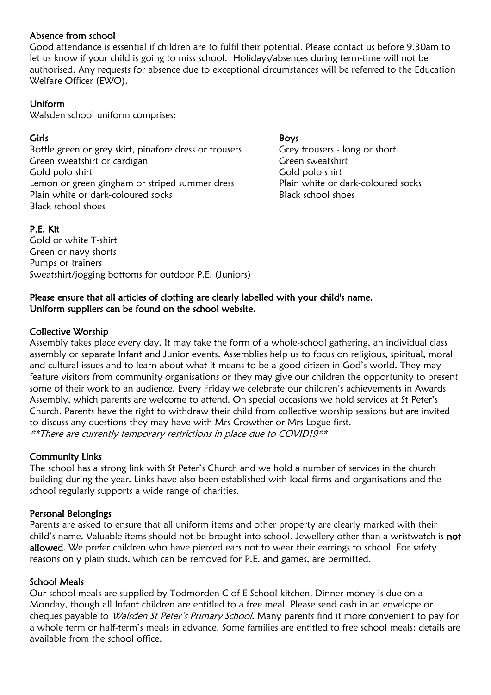#### Absence from school

Good attendance is essential if children are to fulfil their potential. Please contact us before 9.30am to let us know if your child is going to miss school. Holidays/absences during term-time will not be authorised. Any requests for absence due to exceptional circumstances will be referred to the Education Welfare Officer (EWO).

#### Uniform

Walsden school uniform comprises:

Bottle green or grey skirt, pinafore dress or trousers Grey trousers - long or short Green sweatshirt or cardigan Green sweatshirt or cardigan Gold polo shirt Gold polo shirt Lemon or green gingham or striped summer dress Plain white or dark-coloured socks Plain white or dark-coloured socks and a set of Black school shoes Black school shoes

# Girls Boys

#### P.E. Kit

Gold or white T-shirt Green or navy shorts Pumps or trainers Sweatshirt/jogging bottoms for outdoor P.E. (Juniors)

#### Please ensure that all articles of clothing are clearly labelled with your child's name. Uniform suppliers can be found on the school website.

## Collective Worship

Assembly takes place every day. It may take the form of a whole-school gathering, an individual class assembly or separate Infant and Junior events. Assemblies help us to focus on religious, spiritual, moral and cultural issues and to learn about what it means to be a good citizen in God's world. They may feature visitors from community organisations or they may give our children the opportunity to present some of their work to an audience. Every Friday we celebrate our children's achievements in Awards Assembly, which parents are welcome to attend. On special occasions we hold services at St Peter's Church. Parents have the right to withdraw their child from collective worship sessions but are invited to discuss any questions they may have with Mrs Crowther or Mrs Logue first. \*\*There are currently temporary restrictions in place due to COVID19\*\*

## Community Links

The school has a strong link with St Peter's Church and we hold a number of services in the church building during the year. Links have also been established with local firms and organisations and the school regularly supports a wide range of charities.

## Personal Belongings

Parents are asked to ensure that all uniform items and other property are clearly marked with their child's name. Valuable items should not be brought into school. Jewellery other than a wristwatch is not allowed. We prefer children who have pierced ears not to wear their earrings to school. For safety reasons only plain studs, which can be removed for P.E. and games, are permitted.

#### School Meals

Our school meals are supplied by Todmorden C of E School kitchen. Dinner money is due on a Monday, though all Infant children are entitled to a free meal. Please send cash in an envelope or cheques payable to Walsden St Peter's Primary School. Many parents find it more convenient to pay for a whole term or half-term's meals in advance. Some families are entitled to free school meals: details are available from the school office.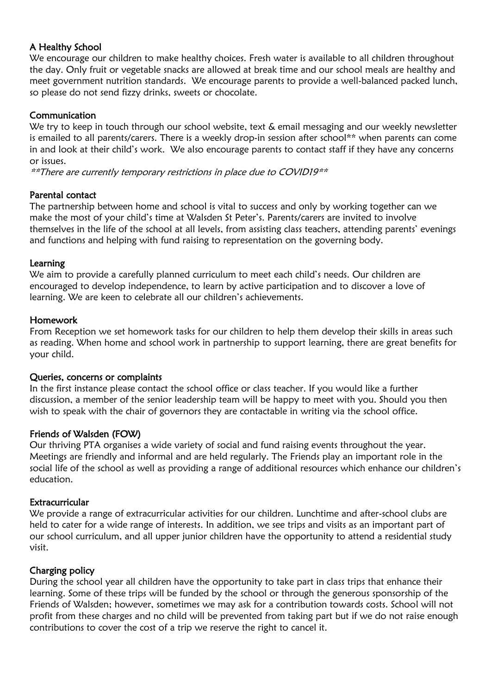#### A Healthy School

We encourage our children to make healthy choices. Fresh water is available to all children throughout the day. Only fruit or vegetable snacks are allowed at break time and our school meals are healthy and meet government nutrition standards. We encourage parents to provide a well-balanced packed lunch, so please do not send fizzy drinks, sweets or chocolate.

#### Communication

We try to keep in touch through our school website, text & email messaging and our weekly newsletter is emailed to all parents/carers. There is a weekly drop-in session after school\*\* when parents can come in and look at their child's work. We also encourage parents to contact staff if they have any concerns or issues.

\*\*There are currently temporary restrictions in place due to COVID19\*\*

#### Parental contact

The partnership between home and school is vital to success and only by working together can we make the most of your child's time at Walsden St Peter's. Parents/carers are invited to involve themselves in the life of the school at all levels, from assisting class teachers, attending parents' evenings and functions and helping with fund raising to representation on the governing body.

#### Learning

We aim to provide a carefully planned curriculum to meet each child's needs. Our children are encouraged to develop independence, to learn by active participation and to discover a love of learning. We are keen to celebrate all our children's achievements.

#### Homework

From Reception we set homework tasks for our children to help them develop their skills in areas such as reading. When home and school work in partnership to support learning, there are great benefits for your child.

#### Queries, concerns or complaints

In the first instance please contact the school office or class teacher. If you would like a further discussion, a member of the senior leadership team will be happy to meet with you. Should you then wish to speak with the chair of governors they are contactable in writing via the school office.

#### Friends of Walsden (FOW)

Our thriving PTA organises a wide variety of social and fund raising events throughout the year. Meetings are friendly and informal and are held regularly. The Friends play an important role in the social life of the school as well as providing a range of additional resources which enhance our children's education.

#### **Extracurricular**

We provide a range of extracurricular activities for our children. Lunchtime and after-school clubs are held to cater for a wide range of interests. In addition, we see trips and visits as an important part of our school curriculum, and all upper junior children have the opportunity to attend a residential study visit.

## Charging policy

During the school year all children have the opportunity to take part in class trips that enhance their learning. Some of these trips will be funded by the school or through the generous sponsorship of the Friends of Walsden; however, sometimes we may ask for a contribution towards costs. School will not profit from these charges and no child will be prevented from taking part but if we do not raise enough contributions to cover the cost of a trip we reserve the right to cancel it.